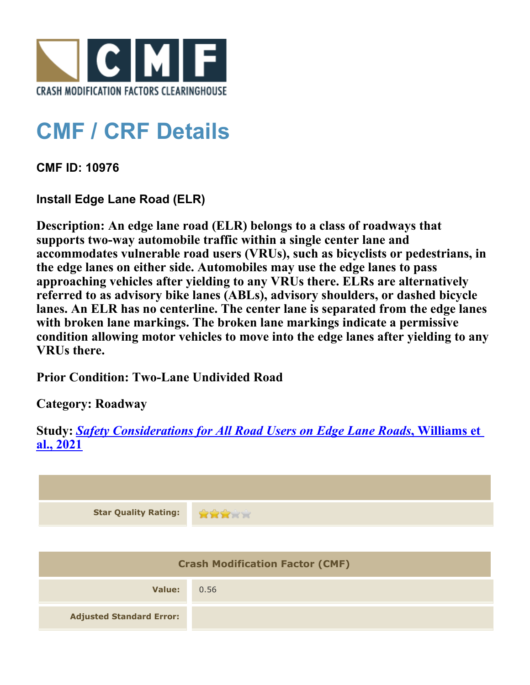

## **CMF / CRF Details**

**CMF ID: 10976**

**Install Edge Lane Road (ELR)**

**Description: An edge lane road (ELR) belongs to a class of roadways that supports two-way automobile traffic within a single center lane and accommodates vulnerable road users (VRUs), such as bicyclists or pedestrians, in the edge lanes on either side. Automobiles may use the edge lanes to pass approaching vehicles after yielding to any VRUs there. ELRs are alternatively referred to as advisory bike lanes (ABLs), advisory shoulders, or dashed bicycle lanes. An ELR has no centerline. The center lane is separated from the edge lanes with broken lane markings. The broken lane markings indicate a permissive condition allowing motor vehicles to move into the edge lanes after yielding to any VRUs there.**

**Prior Condition: Two-Lane Undivided Road**

**Category: Roadway**

**Study:** *[Safety Considerations for All Road Users on Edge Lane Roads](http://www.cmfclearinghouse.org/study_detail.cfm?stid=633)***[, Williams et](http://www.cmfclearinghouse.org/study_detail.cfm?stid=633) [al., 2021](http://www.cmfclearinghouse.org/study_detail.cfm?stid=633)**

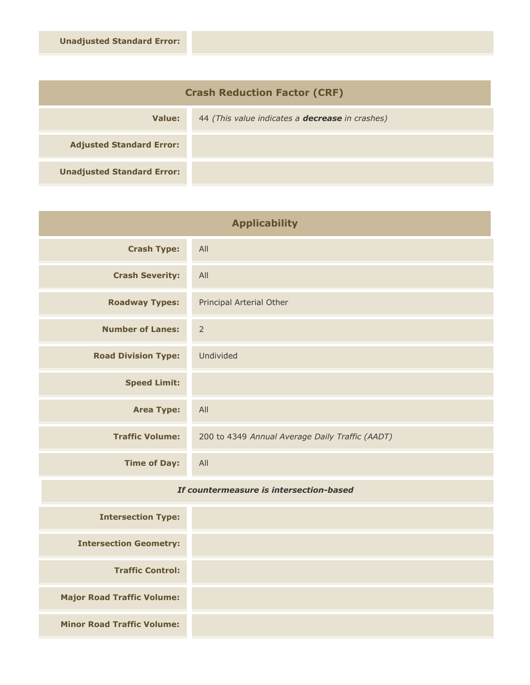| <b>Crash Reduction Factor (CRF)</b> |                                                        |  |
|-------------------------------------|--------------------------------------------------------|--|
| Value:                              | 44 (This value indicates a <b>decrease</b> in crashes) |  |
| <b>Adjusted Standard Error:</b>     |                                                        |  |
| <b>Unadjusted Standard Error:</b>   |                                                        |  |

| <b>Applicability</b>       |                                                 |
|----------------------------|-------------------------------------------------|
| <b>Crash Type:</b>         | All                                             |
| <b>Crash Severity:</b>     | All                                             |
| <b>Roadway Types:</b>      | Principal Arterial Other                        |
| <b>Number of Lanes:</b>    | $\overline{2}$                                  |
| <b>Road Division Type:</b> | Undivided                                       |
| <b>Speed Limit:</b>        |                                                 |
| <b>Area Type:</b>          | All                                             |
| <b>Traffic Volume:</b>     | 200 to 4349 Annual Average Daily Traffic (AADT) |
| <b>Time of Day:</b>        | All                                             |

## *If countermeasure is intersection-based*

| <b>Intersection Type:</b>         |
|-----------------------------------|
| <b>Intersection Geometry:</b>     |
| <b>Traffic Control:</b>           |
| <b>Major Road Traffic Volume:</b> |
| <b>Minor Road Traffic Volume:</b> |